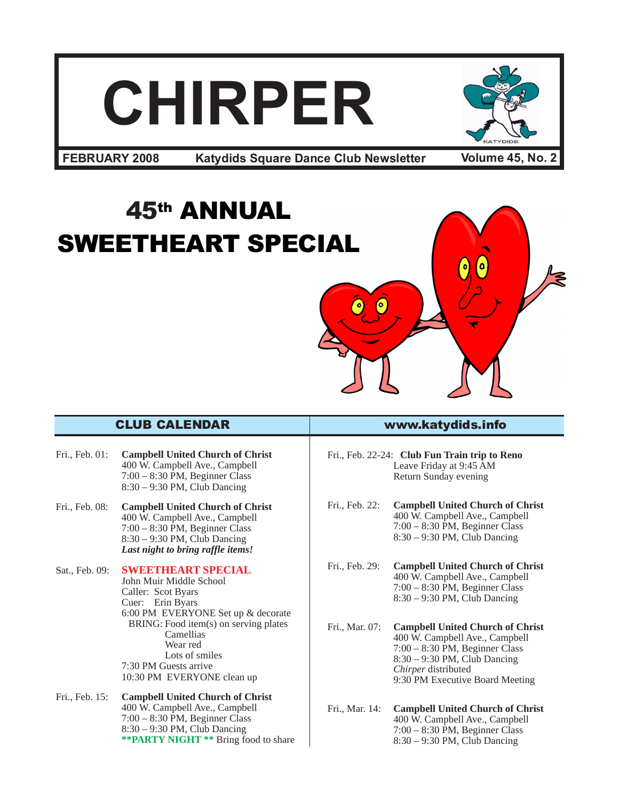# **CHIRPER**



**Katydids Square Dance Club Newsletter FEBRUARY 2008 Volume 45, No. 2**

## 45th ANNUAL SWEETHEART SPECIAL



- Fri., Feb. 01: **Campbell United Church of Christ** 400 W. Campbell Ave., Campbell 7:00 – 8:30 PM, Beginner Class 8:30 – 9:30 PM, Club Dancing
- Fri., Feb. 08: **Campbell United Church of Christ** 400 W. Campbell Ave., Campbell 7:00 – 8:30 PM, Beginner Class 8:30 – 9:30 PM, Club Dancing *Last night to bring raffle items!*

#### Sat., Feb. 09: **SWEETHEART SPECIAL**

John Muir Middle School Caller: Scot Byars Cuer: Erin Byars 6:00 PM EVERYONE Set up & decorate BRING: Food item(s) on serving plates Camellias Wear red Lots of smiles 7:30 PM Guests arrive 10:30 PM EVERYONE clean up

Fri., Feb. 15: **Campbell United Church of Christ** 400 W. Campbell Ave., Campbell 7:00 – 8:30 PM, Beginner Class 8:30 – 9:30 PM, Club Dancing **\*\*PARTY NIGHT \*\*** Bring food to share

#### CLUB CALENDAR www.katydids.info

Fri., Feb. 22-24: **Club Fun Train trip to Reno** Leave Friday at 9:45 AM Return Sunday evening

Fri., Feb. 22: **Campbell United Church of Christ** 400 W. Campbell Ave., Campbell 7:00 – 8:30 PM, Beginner Class 8:30 – 9:30 PM, Club Dancing

Fri., Feb. 29: **Campbell United Church of Christ** 400 W. Campbell Ave., Campbell 7:00 – 8:30 PM, Beginner Class 8:30 – 9:30 PM, Club Dancing

- Fri., Mar. 07: **Campbell United Church of Christ** 400 W. Campbell Ave., Campbell 7:00 – 8:30 PM, Beginner Class 8:30 – 9:30 PM, Club Dancing *Chirper* distributed 9:30 PM Executive Board Meeting
- Fri., Mar. 14: **Campbell United Church of Christ** 400 W. Campbell Ave., Campbell 7:00 – 8:30 PM, Beginner Class 8:30 – 9:30 PM, Club Dancing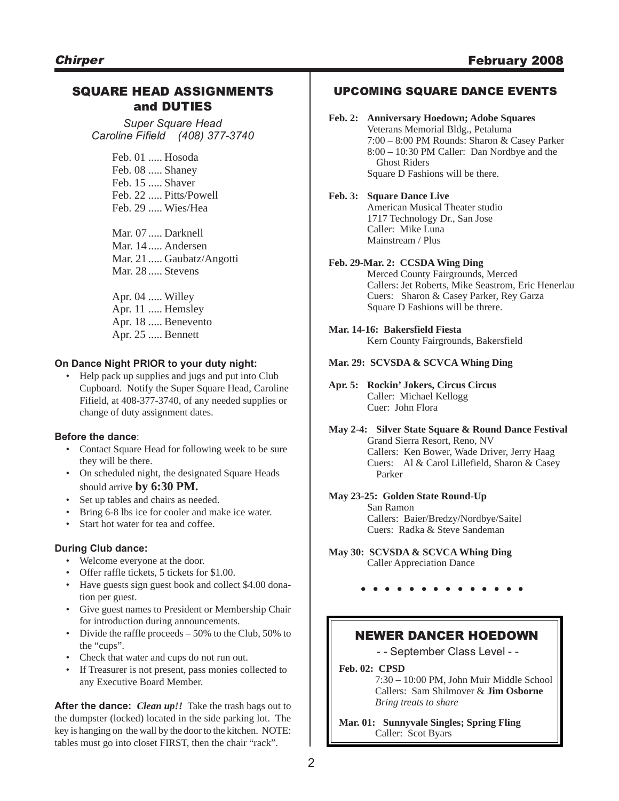#### SQUARE HEAD ASSIGNMENTS and DUTIES

*Super Square Head Caroline Fifield (408) 377-3740*

> Feb. 01 ..... Hosoda Feb. 08 ..... Shaney Feb. 15 ..... Shaver Feb. 22 ..... Pitts/Powell Feb. 29 ..... Wies/Hea

Mar. 07 ..... Darknell Mar. 14 ..... Andersen Mar. 21 ..... Gaubatz/Angotti Mar. 28 ..... Stevens

Apr. 04 ..... Willey Apr. 11 ..... Hemsley Apr. 18 ..... Benevento Apr. 25 ..... Bennett

#### **On Dance Night PRIOR to your duty night:**

• Help pack up supplies and jugs and put into Club Cupboard. Notify the Super Square Head, Caroline Fifield, at 408-377-3740, of any needed supplies or change of duty assignment dates.

#### **Before the dance**:

- Contact Square Head for following week to be sure they will be there.
- On scheduled night, the designated Square Heads should arrive **by 6:30 PM.**
- Set up tables and chairs as needed.
- Bring 6-8 lbs ice for cooler and make ice water.
- Start hot water for tea and coffee.

#### **During Club dance:**

- Welcome everyone at the door.
- Offer raffle tickets, 5 tickets for \$1.00.
- Have guests sign guest book and collect \$4.00 donation per guest.
- Give guest names to President or Membership Chair for introduction during announcements.
- Divide the raffle proceeds 50% to the Club, 50% to the "cups".
- Check that water and cups do not run out.
- If Treasurer is not present, pass monies collected to any Executive Board Member.

**After the dance:** *Clean up!!* Take the trash bags out to the dumpster (locked) located in the side parking lot. The key is hanging on the wall by the door to the kitchen. NOTE: tables must go into closet FIRST, then the chair "rack".

#### UPCOMING SQUARE DANCE EVENTS

#### **Feb. 2: Anniversary Hoedown; Adobe Squares**

Veterans Memorial Bldg., Petaluma 7:00 – 8:00 PM Rounds: Sharon & Casey Parker 8:00 – 10:30 PM Caller: Dan Nordbye and the Ghost Riders Square D Fashions will be there.

#### **Feb. 3: Square Dance Live**

American Musical Theater studio 1717 Technology Dr., San Jose Caller: Mike Luna Mainstream / Plus

#### **Feb. 29-Mar. 2: CCSDA Wing Ding**

Merced County Fairgrounds, Merced Callers: Jet Roberts, Mike Seastrom, Eric Henerlau Cuers: Sharon & Casey Parker, Rey Garza Square D Fashions will be threre.

#### **Mar. 14-16: Bakersfield Fiesta**

Kern County Fairgrounds, Bakersfield

**Mar. 29: SCVSDA & SCVCA Whing Ding**

#### **Apr. 5: Rockin' Jokers, Circus Circus** Caller: Michael Kellogg Cuer: John Flora

**May 2-4: Silver State Square & Round Dance Festival** Grand Sierra Resort, Reno, NV Callers: Ken Bower, Wade Driver, Jerry Haag Cuers: Al & Carol Lillefield, Sharon & Casey Parker

#### **May 23-25: Golden State Round-Up**

San Ramon Callers: Baier/Bredzy/Nordbye/Saitel Cuers: Radka & Steve Sandeman

**May 30: SCVSDA & SCVCA Whing Ding** Caller Appreciation Dance

**. . . . . . . . . . . . . .**

#### NEWER DANCER HOEDOWN

- - September Class Level - -

**Feb. 02: CPSD**

7:30 – 10:00 PM, John Muir Middle School Callers: Sam Shilmover & **Jim Osborne** *Bring treats to share*

**Mar. 01: Sunnyvale Singles; Spring Fling** Caller: Scot Byars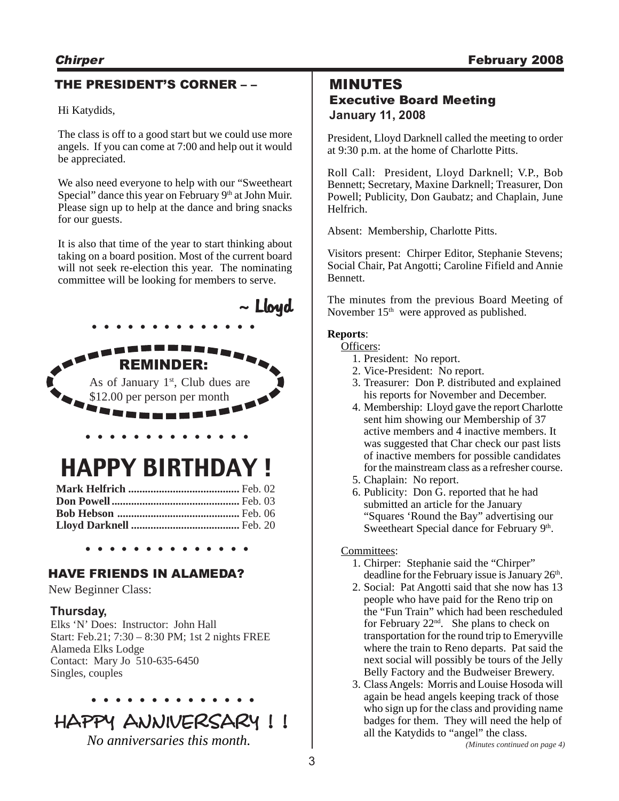#### THE PRESIDENT'S CORNER – –

Hi Katydids,

The class is off to a good start but we could use more angels. If you can come at 7:00 and help out it would be appreciated.

We also need everyone to help with our "Sweetheart Special" dance this year on February 9<sup>th</sup> at John Muir. Please sign up to help at the dance and bring snacks for our guests.

It is also that time of the year to start thinking about taking on a board position. Most of the current board will not seek re-election this year. The nominating committee will be looking for members to serve.



#### **Thursday,**

Elks 'N' Does: Instructor: John Hall Start: Feb.21; 7:30 – 8:30 PM; 1st 2 nights FREE Alameda Elks Lodge Contact: Mary Jo 510-635-6450 Singles, couples

## HAPPY ANNIVERSARY !!

**. . . . . . . . . . . . . .**

*No anniversaries this month.*

#### MINUTES

#### Executive Board Meeting **January 11, 2008**

President, Lloyd Darknell called the meeting to order at 9:30 p.m. at the home of Charlotte Pitts.

Roll Call: President, Lloyd Darknell; V.P., Bob Bennett; Secretary, Maxine Darknell; Treasurer, Don Powell; Publicity, Don Gaubatz; and Chaplain, June Helfrich.

Absent: Membership, Charlotte Pitts.

Visitors present: Chirper Editor, Stephanie Stevens; Social Chair, Pat Angotti; Caroline Fifield and Annie Bennett.

The minutes from the previous Board Meeting of November 15<sup>th</sup> were approved as published.

#### **Reports**:

Officers:

- 1. President: No report.
- 2. Vice-President: No report.
- 3. Treasurer: Don P. distributed and explained his reports for November and December.
- 4. Membership: Lloyd gave the report Charlotte sent him showing our Membership of 37 active members and 4 inactive members. It was suggested that Char check our past lists of inactive members for possible candidates for the mainstream class as a refresher course.
- 5. Chaplain: No report.
- 6. Publicity: Don G. reported that he had submitted an article for the January "Squares 'Round the Bay" advertising our Sweetheart Special dance for February 9th.

Committees:

- 1. Chirper: Stephanie said the "Chirper" deadline for the February issue is January 26<sup>th</sup>.
- 2. Social: Pat Angotti said that she now has 13 people who have paid for the Reno trip on the "Fun Train" which had been rescheduled for February  $22<sup>nd</sup>$ . She plans to check on transportation for the round trip to Emeryville where the train to Reno departs. Pat said the next social will possibly be tours of the Jelly Belly Factory and the Budweiser Brewery.
- 3. Class Angels: Morris and Louise Hosoda will again be head angels keeping track of those who sign up for the class and providing name badges for them. They will need the help of all the Katydids to "angel" the class.

*(Minutes continued on page 4)*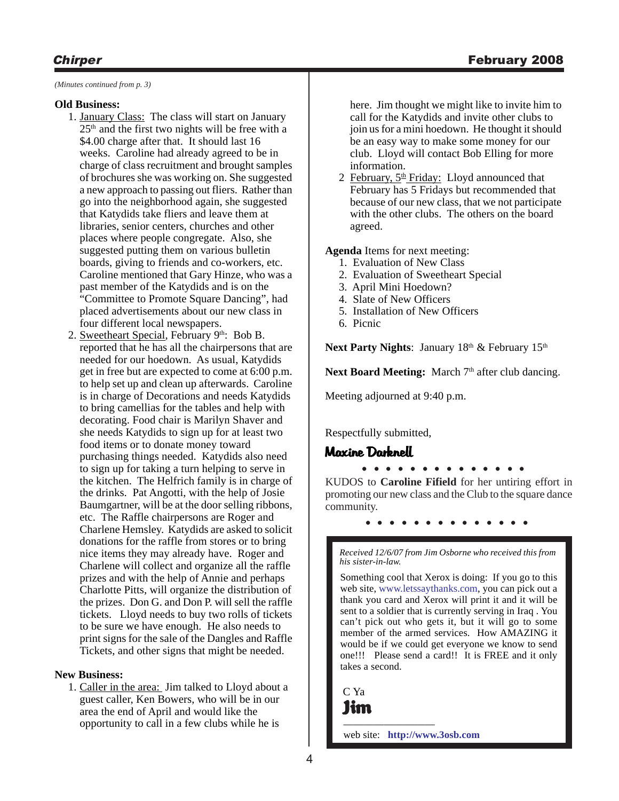*(Minutes continued from p. 3)*

#### **Old Business:**

- 1. January Class: The class will start on January  $25<sup>th</sup>$  and the first two nights will be free with a \$4.00 charge after that. It should last 16 weeks. Caroline had already agreed to be in charge of class recruitment and brought samples of brochures she was working on. She suggested a new approach to passing out fliers. Rather than go into the neighborhood again, she suggested that Katydids take fliers and leave them at libraries, senior centers, churches and other places where people congregate. Also, she suggested putting them on various bulletin boards, giving to friends and co-workers, etc. Caroline mentioned that Gary Hinze, who was a past member of the Katydids and is on the "Committee to Promote Square Dancing", had placed advertisements about our new class in four different local newspapers.
- 2. Sweetheart Special, February 9th: Bob B. reported that he has all the chairpersons that are needed for our hoedown. As usual, Katydids get in free but are expected to come at 6:00 p.m. to help set up and clean up afterwards. Caroline is in charge of Decorations and needs Katydids to bring camellias for the tables and help with decorating. Food chair is Marilyn Shaver and she needs Katydids to sign up for at least two food items or to donate money toward purchasing things needed. Katydids also need to sign up for taking a turn helping to serve in the kitchen. The Helfrich family is in charge of the drinks. Pat Angotti, with the help of Josie Baumgartner, will be at the door selling ribbons, etc. The Raffle chairpersons are Roger and Charlene Hemsley. Katydids are asked to solicit donations for the raffle from stores or to bring nice items they may already have. Roger and Charlene will collect and organize all the raffle prizes and with the help of Annie and perhaps Charlotte Pitts, will organize the distribution of the prizes. Don G. and Don P. will sell the raffle tickets. Lloyd needs to buy two rolls of tickets to be sure we have enough. He also needs to print signs for the sale of the Dangles and Raffle Tickets, and other signs that might be needed.

#### **New Business:**

1. Caller in the area: Jim talked to Lloyd about a guest caller, Ken Bowers, who will be in our area the end of April and would like the opportunity to call in a few clubs while he is

here. Jim thought we might like to invite him to call for the Katydids and invite other clubs to join us for a mini hoedown. He thought it should be an easy way to make some money for our club. Lloyd will contact Bob Elling for more information.

2 February,  $5<sup>th</sup>$  Friday: Lloyd announced that February has 5 Fridays but recommended that because of our new class, that we not participate with the other clubs. The others on the board agreed.

**Agenda** Items for next meeting:

- 1. Evaluation of New Class
- 2. Evaluation of Sweetheart Special
- 3. April Mini Hoedown?
- 4. Slate of New Officers
- 5. Installation of New Officers
- 6. Picnic

Next Party Nights: January 18<sup>th</sup> & February 15<sup>th</sup>

Next Board Meeting: March 7<sup>th</sup> after club dancing.

Meeting adjourned at 9:40 p.m.

Respectfully submitted,

#### Maxine Darknell

**. Larencu**<br>• • • • • • • • • • • • • • •

KUDOS to **Caroline Fifield** for her untiring effort in promoting our new class and the Club to the square dance community.

**. . . . . . . . . . . . . .**

*Received 12/6/07 from Jim Osborne who received this from his sister-in-law.*

Something cool that Xerox is doing: If you go to this web site, www.letssaythanks.com, you can pick out a thank you card and Xerox will print it and it will be sent to a soldier that is currently serving in Iraq . You can't pick out who gets it, but it will go to some member of the armed services. How AMAZING it would be if we could get everyone we know to send one!!! Please send a card!! It is FREE and it only takes a second.

C Ya Jim

———————— web site: **http://www.3osb.com**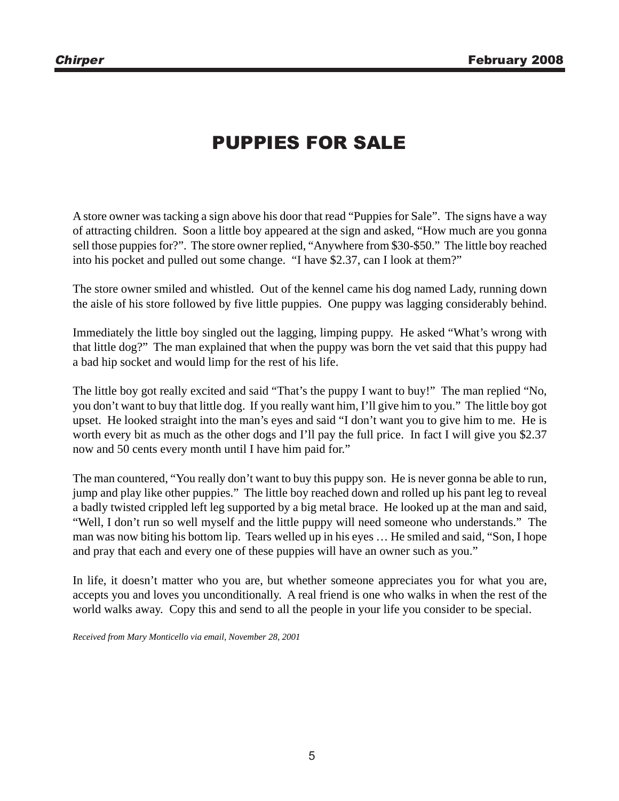### PUPPIES FOR SALE

A store owner was tacking a sign above his door that read "Puppies for Sale". The signs have a way of attracting children. Soon a little boy appeared at the sign and asked, "How much are you gonna sell those puppies for?". The store owner replied, "Anywhere from \$30-\$50." The little boy reached into his pocket and pulled out some change. "I have \$2.37, can I look at them?"

The store owner smiled and whistled. Out of the kennel came his dog named Lady, running down the aisle of his store followed by five little puppies. One puppy was lagging considerably behind.

Immediately the little boy singled out the lagging, limping puppy. He asked "What's wrong with that little dog?" The man explained that when the puppy was born the vet said that this puppy had a bad hip socket and would limp for the rest of his life.

The little boy got really excited and said "That's the puppy I want to buy!" The man replied "No, you don't want to buy that little dog. If you really want him, I'll give him to you." The little boy got upset. He looked straight into the man's eyes and said "I don't want you to give him to me. He is worth every bit as much as the other dogs and I'll pay the full price. In fact I will give you \$2.37 now and 50 cents every month until I have him paid for."

The man countered, "You really don't want to buy this puppy son. He is never gonna be able to run, jump and play like other puppies." The little boy reached down and rolled up his pant leg to reveal a badly twisted crippled left leg supported by a big metal brace. He looked up at the man and said, "Well, I don't run so well myself and the little puppy will need someone who understands." The man was now biting his bottom lip. Tears welled up in his eyes … He smiled and said, "Son, I hope and pray that each and every one of these puppies will have an owner such as you."

In life, it doesn't matter who you are, but whether someone appreciates you for what you are, accepts you and loves you unconditionally. A real friend is one who walks in when the rest of the world walks away. Copy this and send to all the people in your life you consider to be special.

*Received from Mary Monticello via email, November 28, 2001*